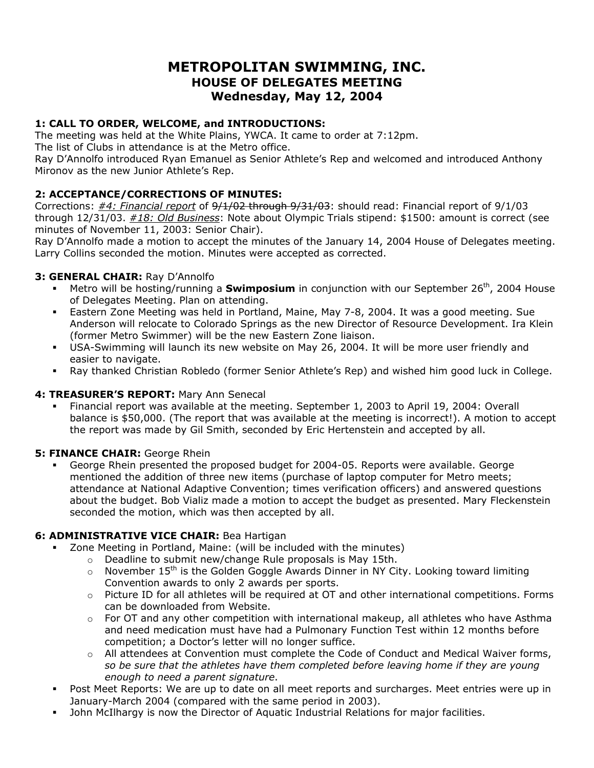# **METROPOLITAN SWIMMING, INC. HOUSE OF DELEGATES MEETING Wednesday, May 12, 2004**

## **1: CALL TO ORDER, WELCOME, and INTRODUCTIONS:**

The meeting was held at the White Plains, YWCA. It came to order at 7:12pm.

The list of Clubs in attendance is at the Metro office.

Ray D'Annolfo introduced Ryan Emanuel as Senior Athlete's Rep and welcomed and introduced Anthony Mironov as the new Junior Athlete's Rep.

## **2: ACCEPTANCE/CORRECTIONS OF MINUTES:**

Corrections: *#4: Financial report* of 9/1/02 through 9/31/03: should read: Financial report of 9/1/03 through 12/31/03. *#18: Old Business*: Note about Olympic Trials stipend: \$1500: amount is correct (see minutes of November 11, 2003: Senior Chair).

Ray D'Annolfo made a motion to accept the minutes of the January 14, 2004 House of Delegates meeting. Larry Collins seconded the motion. Minutes were accepted as corrected.

### **3: GENERAL CHAIR:** Ray D'Annolfo

- **Metro will be hosting/running a Swimposium** in conjunction with our September 26<sup>th</sup>, 2004 House of Delegates Meeting. Plan on attending.
- Eastern Zone Meeting was held in Portland, Maine, May 7-8, 2004. It was a good meeting. Sue Anderson will relocate to Colorado Springs as the new Director of Resource Development. Ira Klein (former Metro Swimmer) will be the new Eastern Zone liaison.
- USA-Swimming will launch its new website on May 26, 2004. It will be more user friendly and easier to navigate.
- Ray thanked Christian Robledo (former Senior Athlete's Rep) and wished him good luck in College.

### **4: TREASURER'S REPORT:** Mary Ann Senecal

 Financial report was available at the meeting. September 1, 2003 to April 19, 2004: Overall balance is \$50,000. (The report that was available at the meeting is incorrect!). A motion to accept the report was made by Gil Smith, seconded by Eric Hertenstein and accepted by all.

### **5: FINANCE CHAIR:** George Rhein

 George Rhein presented the proposed budget for 2004-05. Reports were available. George mentioned the addition of three new items (purchase of laptop computer for Metro meets; attendance at National Adaptive Convention; times verification officers) and answered questions about the budget. Bob Vializ made a motion to accept the budget as presented. Mary Fleckenstein seconded the motion, which was then accepted by all.

### **6: ADMINISTRATIVE VICE CHAIR:** Bea Hartigan

- Zone Meeting in Portland, Maine: (will be included with the minutes)
	- o Deadline to submit new/change Rule proposals is May 15th.
	- $\circ$  November 15<sup>th</sup> is the Golden Goggle Awards Dinner in NY City. Looking toward limiting Convention awards to only 2 awards per sports.
	- $\circ$  Picture ID for all athletes will be required at OT and other international competitions. Forms can be downloaded from Website.
	- $\circ$  For OT and any other competition with international makeup, all athletes who have Asthma and need medication must have had a Pulmonary Function Test within 12 months before competition; a Doctor's letter will no longer suffice.
	- $\circ$  All attendees at Convention must complete the Code of Conduct and Medical Waiver forms, *so be sure that the athletes have them completed before leaving home if they are young enough to need a parent signature*.
- Post Meet Reports: We are up to date on all meet reports and surcharges. Meet entries were up in January-March 2004 (compared with the same period in 2003).
- John McIlhargy is now the Director of Aquatic Industrial Relations for major facilities.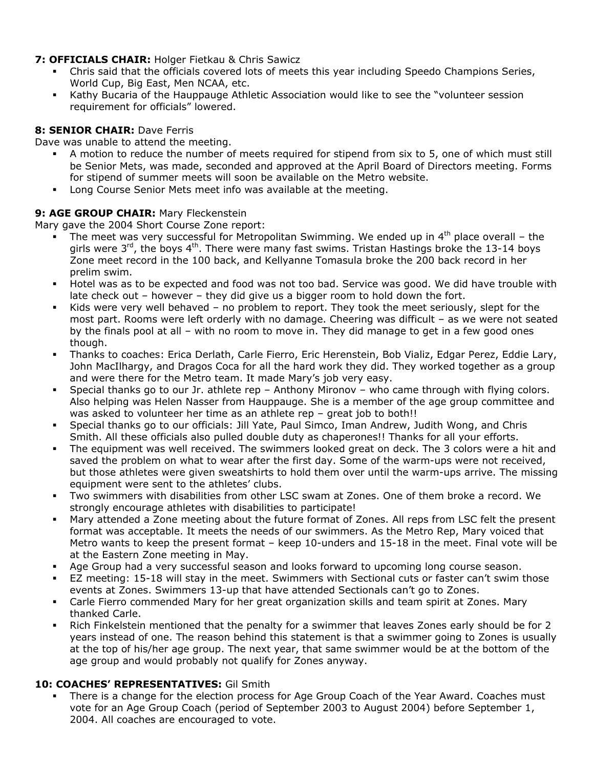### **7: OFFICIALS CHAIR:** Holger Fietkau & Chris Sawicz

- Chris said that the officials covered lots of meets this year including Speedo Champions Series, World Cup, Big East, Men NCAA, etc.
- Kathy Bucaria of the Hauppauge Athletic Association would like to see the "volunteer session requirement for officials" lowered.

## **8: SENIOR CHAIR:** Dave Ferris

Dave was unable to attend the meeting.

- A motion to reduce the number of meets required for stipend from six to 5, one of which must still be Senior Mets, was made, seconded and approved at the April Board of Directors meeting. Forms for stipend of summer meets will soon be available on the Metro website.
- Long Course Senior Mets meet info was available at the meeting.

## **9: AGE GROUP CHAIR:** Mary Fleckenstein

Mary gave the 2004 Short Course Zone report:

- The meet was very successful for Metropolitan Swimming. We ended up in  $4<sup>th</sup>$  place overall the girls were  $3^{rd}$ , the boys  $4^{th}$ . There were many fast swims. Tristan Hastings broke the 13-14 boys Zone meet record in the 100 back, and Kellyanne Tomasula broke the 200 back record in her prelim swim.
- Hotel was as to be expected and food was not too bad. Service was good. We did have trouble with late check out – however – they did give us a bigger room to hold down the fort.
- Kids were very well behaved no problem to report. They took the meet seriously, slept for the most part. Rooms were left orderly with no damage. Cheering was difficult – as we were not seated by the finals pool at all – with no room to move in. They did manage to get in a few good ones though.
- Thanks to coaches: Erica Derlath, Carle Fierro, Eric Herenstein, Bob Vializ, Edgar Perez, Eddie Lary, John MacIlhargy, and Dragos Coca for all the hard work they did. They worked together as a group and were there for the Metro team. It made Mary's job very easy.
- Special thanks go to our Jr. athlete rep Anthony Mironov who came through with flying colors. Also helping was Helen Nasser from Hauppauge. She is a member of the age group committee and was asked to volunteer her time as an athlete rep – great job to both!!
- Special thanks go to our officials: Jill Yate, Paul Simco, Iman Andrew, Judith Wong, and Chris Smith. All these officials also pulled double duty as chaperones!! Thanks for all your efforts.
- The equipment was well received. The swimmers looked great on deck. The 3 colors were a hit and saved the problem on what to wear after the first day. Some of the warm-ups were not received, but those athletes were given sweatshirts to hold them over until the warm-ups arrive. The missing equipment were sent to the athletes' clubs.
- Two swimmers with disabilities from other LSC swam at Zones. One of them broke a record. We strongly encourage athletes with disabilities to participate!
- Mary attended a Zone meeting about the future format of Zones. All reps from LSC felt the present format was acceptable. It meets the needs of our swimmers. As the Metro Rep, Mary voiced that Metro wants to keep the present format – keep 10-unders and 15-18 in the meet. Final vote will be at the Eastern Zone meeting in May.
- Age Group had a very successful season and looks forward to upcoming long course season.
- EZ meeting: 15-18 will stay in the meet. Swimmers with Sectional cuts or faster can't swim those events at Zones. Swimmers 13-up that have attended Sectionals can't go to Zones.
- Carle Fierro commended Mary for her great organization skills and team spirit at Zones. Mary thanked Carle.
- Rich Finkelstein mentioned that the penalty for a swimmer that leaves Zones early should be for 2 years instead of one. The reason behind this statement is that a swimmer going to Zones is usually at the top of his/her age group. The next year, that same swimmer would be at the bottom of the age group and would probably not qualify for Zones anyway.

### **10: COACHES' REPRESENTATIVES:** Gil Smith

 There is a change for the election process for Age Group Coach of the Year Award. Coaches must vote for an Age Group Coach (period of September 2003 to August 2004) before September 1, 2004. All coaches are encouraged to vote.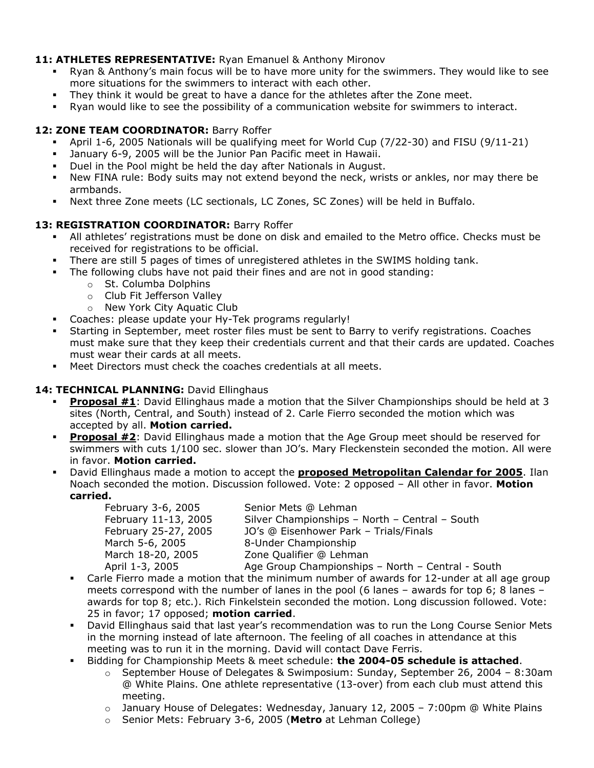### 11: **ATHLETES REPRESENTATIVE:** Ryan Emanuel & Anthony Mironov

- Ryan & Anthony's main focus will be to have more unity for the swimmers. They would like to see more situations for the swimmers to interact with each other.
- They think it would be great to have a dance for the athletes after the Zone meet.
- Ryan would like to see the possibility of a communication website for swimmers to interact.

## 12: **ZONE TEAM COORDINATOR: Barry Roffer**

- April 1-6, 2005 Nationals will be qualifying meet for World Cup (7/22-30) and FISU (9/11-21)
- January 6-9, 2005 will be the Junior Pan Pacific meet in Hawaii.
- Duel in the Pool might be held the day after Nationals in August.
- New FINA rule: Body suits may not extend beyond the neck, wrists or ankles, nor may there be armbands.
- Next three Zone meets (LC sectionals, LC Zones, SC Zones) will be held in Buffalo.

## **13: REGISTRATION COORDINATOR:** Barry Roffer

- All athletes' registrations must be done on disk and emailed to the Metro office. Checks must be received for registrations to be official.
- There are still 5 pages of times of unregistered athletes in the SWIMS holding tank.
- The following clubs have not paid their fines and are not in good standing:
	- o St. Columba Dolphins
	- o Club Fit Jefferson Valley
	- o New York City Aquatic Club
- Coaches: please update your Hy-Tek programs regularly!
- Starting in September, meet roster files must be sent to Barry to verify registrations. Coaches must make sure that they keep their credentials current and that their cards are updated. Coaches must wear their cards at all meets.
- Meet Directors must check the coaches credentials at all meets.

## 14: TECHNICAL PLANNING: David Ellinghaus

- **Proposal #1**: David Ellinghaus made a motion that the Silver Championships should be held at 3 sites (North, Central, and South) instead of 2. Carle Fierro seconded the motion which was accepted by all. **Motion carried.**
- **Proposal #2**: David Ellinghaus made a motion that the Age Group meet should be reserved for swimmers with cuts 1/100 sec. slower than JO's. Mary Fleckenstein seconded the motion. All were in favor. **Motion carried.**
- David Ellinghaus made a motion to accept the **proposed Metropolitan Calendar for 2005**. Ilan Noach seconded the motion. Discussion followed. Vote: 2 opposed – All other in favor. **Motion carried.**

February 3-6, 2005 Senior Mets @ Lehman

 February 11-13, 2005 Silver Championships – North – Central – South February 25-27, 2005 JO's @ Eisenhower Park – Trials/Finals March 5-6, 2005 8-Under Championship March 18-20, 2005 Zone Qualifier @ Lehman

- April 1-3, 2005 Age Group Championships North Central South Carle Fierro made a motion that the minimum number of awards for 12-under at all age group meets correspond with the number of lanes in the pool (6 lanes – awards for top 6; 8 lanes – awards for top 8; etc.). Rich Finkelstein seconded the motion. Long discussion followed. Vote: 25 in favor; 17 opposed; **motion carried**.
- David Ellinghaus said that last year's recommendation was to run the Long Course Senior Mets in the morning instead of late afternoon. The feeling of all coaches in attendance at this meeting was to run it in the morning. David will contact Dave Ferris.
- Bidding for Championship Meets & meet schedule: **the 2004-05 schedule is attached**.
	- $\circ$  September House of Delegates & Swimposium: Sunday, September 26, 2004 8:30am @ White Plains. One athlete representative (13-over) from each club must attend this meeting.
	- $\circ$  January House of Delegates: Wednesday, January 12, 2005 7:00pm @ White Plains
	- o Senior Mets: February 3-6, 2005 (**Metro** at Lehman College)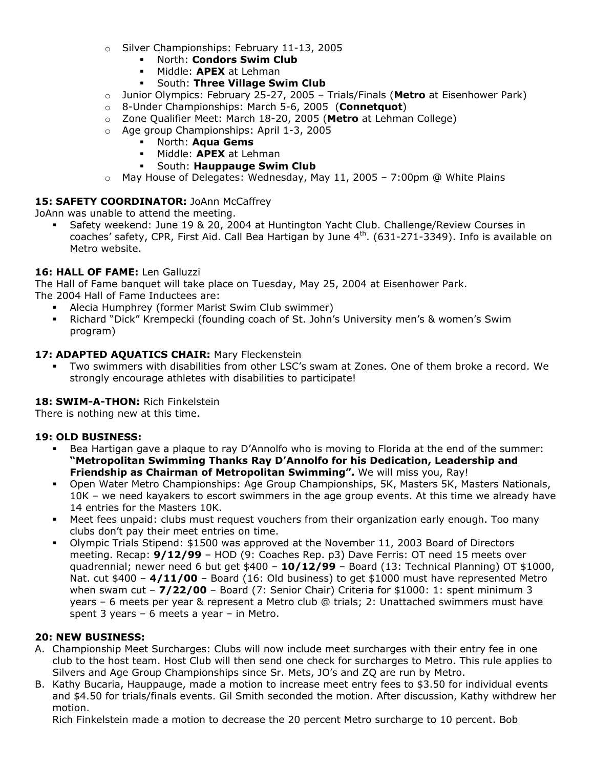- o Silver Championships: February 11-13, 2005
	- North: **Condors Swim Club**
	- Middle: **APEX** at Lehman
	- South: **Three Village Swim Club**
- o Junior Olympics: February 25-27, 2005 Trials/Finals (**Metro** at Eisenhower Park)
- o 8-Under Championships: March 5-6, 2005 (**Connetquot**)
- o Zone Qualifier Meet: March 18-20, 2005 (**Metro** at Lehman College)
- o Age group Championships: April 1-3, 2005
	- North: **Aqua Gems**
	- Middle: **APEX** at Lehman
	- South: **Hauppauge Swim Club**
- $\circ$  May House of Delegates: Wednesday, May 11, 2005 7:00pm @ White Plains

#### 15: SAFETY COORDINATOR: JoAnn McCaffrey

JoAnn was unable to attend the meeting.

 Safety weekend: June 19 & 20, 2004 at Huntington Yacht Club. Challenge/Review Courses in coaches' safety, CPR, First Aid. Call Bea Hartigan by June 4<sup>th</sup>. (631-271-3349). Info is available on Metro website.

#### **16: HALL OF FAME:** Len Galluzzi

The Hall of Fame banquet will take place on Tuesday, May 25, 2004 at Eisenhower Park.

The 2004 Hall of Fame Inductees are:

- Alecia Humphrey (former Marist Swim Club swimmer)
- Richard "Dick" Krempecki (founding coach of St. John's University men's & women's Swim program)

### **17: ADAPTED AQUATICS CHAIR:** Mary Fleckenstein

 Two swimmers with disabilities from other LSC's swam at Zones. One of them broke a record. We strongly encourage athletes with disabilities to participate!

### **18: SWIM-A-THON:** Rich Finkelstein

There is nothing new at this time.

### **19: OLD BUSINESS:**

- Bea Hartigan gave a plaque to ray D'Annolfo who is moving to Florida at the end of the summer: **"Metropolitan Swimming Thanks Ray D'Annolfo for his Dedication, Leadership and Friendship as Chairman of Metropolitan Swimming".** We will miss you, Ray!
- Open Water Metro Championships: Age Group Championships, 5K, Masters 5K, Masters Nationals, 10K – we need kayakers to escort swimmers in the age group events. At this time we already have 14 entries for the Masters 10K.
- Meet fees unpaid: clubs must request vouchers from their organization early enough. Too many clubs don't pay their meet entries on time.
- Olympic Trials Stipend: \$1500 was approved at the November 11, 2003 Board of Directors meeting. Recap: **9/12/99** – HOD (9: Coaches Rep. p3) Dave Ferris: OT need 15 meets over quadrennial; newer need 6 but get \$400 – **10/12/99** – Board (13: Technical Planning) OT \$1000, Nat. cut \$400 – 4/11/00 – Board (16: Old business) to get \$1000 must have represented Metro when swam cut – **7/22/00** – Board (7: Senior Chair) Criteria for \$1000: 1: spent minimum 3 years – 6 meets per year & represent a Metro club @ trials; 2: Unattached swimmers must have spent 3 years – 6 meets a year – in Metro.

### **20: NEW BUSINESS:**

- A. Championship Meet Surcharges: Clubs will now include meet surcharges with their entry fee in one club to the host team. Host Club will then send one check for surcharges to Metro. This rule applies to Silvers and Age Group Championships since Sr. Mets, JO's and ZQ are run by Metro.
- B. Kathy Bucaria, Hauppauge, made a motion to increase meet entry fees to \$3.50 for individual events and \$4.50 for trials/finals events. Gil Smith seconded the motion. After discussion, Kathy withdrew her motion.

Rich Finkelstein made a motion to decrease the 20 percent Metro surcharge to 10 percent. Bob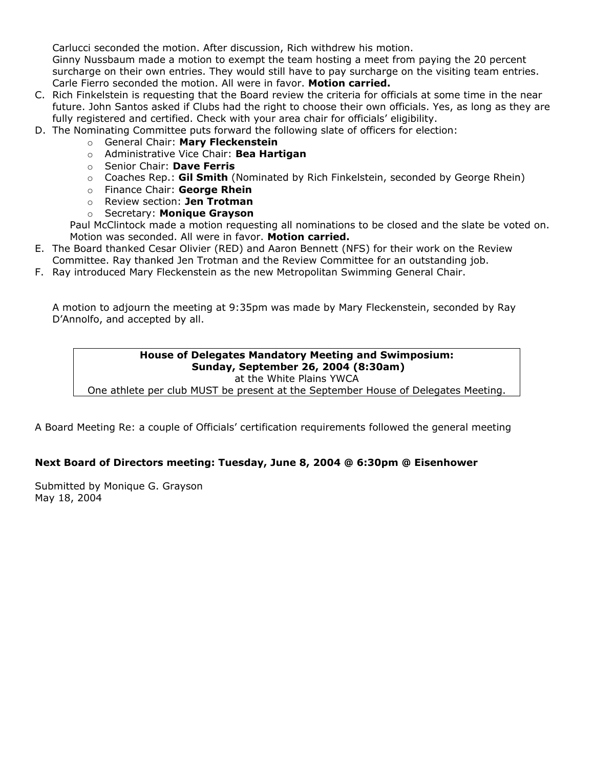Carlucci seconded the motion. After discussion, Rich withdrew his motion.

Ginny Nussbaum made a motion to exempt the team hosting a meet from paying the 20 percent surcharge on their own entries. They would still have to pay surcharge on the visiting team entries. Carle Fierro seconded the motion. All were in favor. **Motion carried.** 

- C. Rich Finkelstein is requesting that the Board review the criteria for officials at some time in the near future. John Santos asked if Clubs had the right to choose their own officials. Yes, as long as they are fully registered and certified. Check with your area chair for officials' eligibility.
- D. The Nominating Committee puts forward the following slate of officers for election:
	- o General Chair: **Mary Fleckenstein**
	- o Administrative Vice Chair: **Bea Hartigan**
	- o Senior Chair: **Dave Ferris**
	- o Coaches Rep.: **Gil Smith** (Nominated by Rich Finkelstein, seconded by George Rhein)
	- o Finance Chair: **George Rhein**
	- o Review section: **Jen Trotman**
	- o Secretary: **Monique Grayson**

Paul McClintock made a motion requesting all nominations to be closed and the slate be voted on. Motion was seconded. All were in favor. **Motion carried.**

- E. The Board thanked Cesar Olivier (RED) and Aaron Bennett (NFS) for their work on the Review Committee. Ray thanked Jen Trotman and the Review Committee for an outstanding job.
- F. Ray introduced Mary Fleckenstein as the new Metropolitan Swimming General Chair.

A motion to adjourn the meeting at 9:35pm was made by Mary Fleckenstein, seconded by Ray D'Annolfo, and accepted by all.

#### **House of Delegates Mandatory Meeting and Swimposium: Sunday, September 26, 2004 (8:30am)**  at the White Plains YWCA

One athlete per club MUST be present at the September House of Delegates Meeting.

A Board Meeting Re: a couple of Officials' certification requirements followed the general meeting

### **Next Board of Directors meeting: Tuesday, June 8, 2004 @ 6:30pm @ Eisenhower**

Submitted by Monique G. Grayson May 18, 2004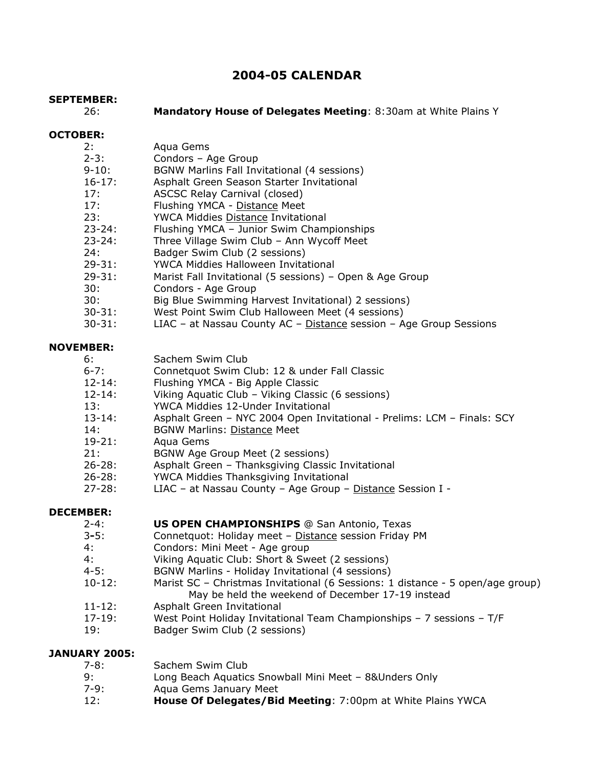## **2004-05 CALENDAR**

#### **SEPTEMBER:**

26: **Mandatory House of Delegates Meeting**: 8:30am at White Plains Y

#### **OCTOBER:**

| 2:         | Aqua Gems                                                          |
|------------|--------------------------------------------------------------------|
| $2 - 3:$   | Condors - Age Group                                                |
| $9 - 10:$  | BGNW Marlins Fall Invitational (4 sessions)                        |
| $16 - 17:$ | Asphalt Green Season Starter Invitational                          |
| 17:        | <b>ASCSC Relay Carnival (closed)</b>                               |
| 17:        | Flushing YMCA - Distance Meet                                      |
| 23:        | YWCA Middies Distance Invitational                                 |
| $23 - 24:$ | Flushing YMCA - Junior Swim Championships                          |
| $23 - 24:$ | Three Village Swim Club - Ann Wycoff Meet                          |
| 24:        | Badger Swim Club (2 sessions)                                      |
| $29 - 31:$ | <b>YWCA Middies Halloween Invitational</b>                         |
| $29 - 31:$ | Marist Fall Invitational (5 sessions) - Open & Age Group           |
| 30:        | Condors - Age Group                                                |
| 30:        | Big Blue Swimming Harvest Invitational) 2 sessions)                |
| $30 - 31:$ | West Point Swim Club Halloween Meet (4 sessions)                   |
| $30 - 31:$ | LIAC - at Nassau County AC - Distance session - Age Group Sessions |
| NAVEMBED.  |                                                                    |

## **NOVEMBER:**

- 6: Sachem Swim Club
- 6-7: Connetquot Swim Club: 12 & under Fall Classic
- 12-14: Flushing YMCA Big Apple Classic
- 12-14: Viking Aquatic Club Viking Classic (6 sessions)<br>13: YWCA Middies 12-Under Invitational
- YWCA Middies 12-Under Invitational
- 13-14: Asphalt Green NYC 2004 Open Invitational Prelims: LCM Finals: SCY
- 14: BGNW Marlins: Distance Meet
- 19-21: Aqua Gems
- 21: BGNW Age Group Meet (2 sessions)
- 26-28: Asphalt Green Thanksgiving Classic Invitational
- 26-28: YWCA Middies Thanksgiving Invitational
- 27-28: LIAC at Nassau County Age Group Distance Session I -

#### **DECEMBER:**

#### 2-4: **US OPEN CHAMPIONSHIPS** @ San Antonio, Texas

- 3**-**5: Connetquot: Holiday meet Distance session Friday PM
- 4: Condors: Mini Meet Age group
- 4: Viking Aquatic Club: Short & Sweet (2 sessions)
- 4-5: BGNW Marlins Holiday Invitational (4 sessions)
- 10-12: Marist SC Christmas Invitational (6 Sessions: 1 distance 5 open/age group) May be held the weekend of December 17-19 instead
- 11-12: Asphalt Green Invitational
- 17-19: West Point Holiday Invitational Team Championships 7 sessions T/F
- 19: Badger Swim Club (2 sessions)

#### **JANUARY 2005:**

| 7-8: | Sachem Swim Club                                            |
|------|-------------------------------------------------------------|
| 9:   | Long Beach Aquatics Snowball Mini Meet - 8& Unders Only     |
| 7-9: | Agua Gems January Meet                                      |
| 12:  | House Of Delegates/Bid Meeting: 7:00pm at White Plains YWCA |